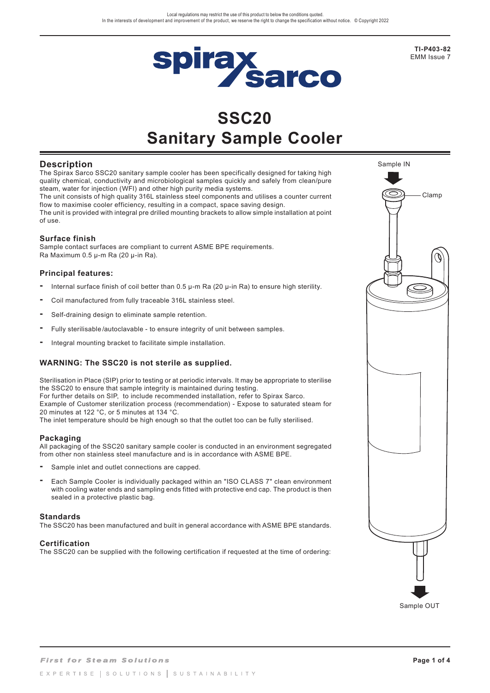

# **SSC20 Sanitary Sample Cooler**

# **Description**

The Spirax Sarco SSC20 sanitary sample cooler has been specifically designed for taking high quality chemical, conductivity and microbiological samples quickly and safely from clean/pure steam, water for injection (WFI) and other high purity media systems. The unit consists of high quality 316L stainless steel components and utilises a counter current flow to maximise cooler efficiency, resulting in a compact, space saving design.

The unit is provided with integral pre drilled mounting brackets to allow simple installation at point of use.

### **Surface finish**

Sample contact surfaces are compliant to current ASME BPE requirements. Ra Maximum 0.5 µ-m Ra (20 µ-in Ra).

### **Principal features:**

- **-** Internal surface finish of coil better than 0.5 µ-m Ra (20 µ-in Ra) to ensure high sterility.
- **-** Coil manufactured from fully traceable 316L stainless steel.
- **-** Self-draining design to eliminate sample retention.
- **-** Fully sterilisable /autoclavable to ensure integrity of unit between samples.
- **-** Integral mounting bracket to facilitate simple installation.

### **WARNING: The SSC20 is not sterile as supplied.**

Sterilisation in Place (SIP) prior to testing or at periodic intervals. It may be appropriate to sterilise the SSC20 to ensure that sample integrity is maintained during testing. For further details on SIP, to include recommended installation, refer to Spirax Sarco. Example of Customer sterilization process (recommendation) - Expose to saturated steam for 20 minutes at 122 °C, or 5 minutes at 134 °C.

The inlet temperature should be high enough so that the outlet too can be fully sterilised.

#### **Packaging**

All packaging of the SSC20 sanitary sample cooler is conducted in an environment segregated from other non stainless steel manufacture and is in accordance with ASME BPE.

- **-** Sample inlet and outlet connections are capped.
- **-** Each Sample Cooler is individually packaged within an "ISO CLASS 7" clean environment with cooling water ends and sampling ends fitted with protective end cap. The product is then sealed in a protective plastic bag.

#### **Standards**

The SSC20 has been manufactured and built in general accordance with ASME BPE standards.

### **Certification**

The SSC20 can be supplied with the following certification if requested at the time of ordering:



**TI-P403-82** EMM Issue 7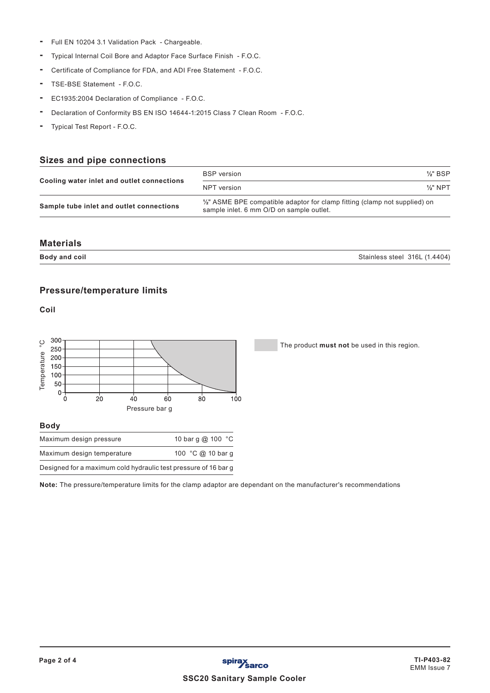- **-** Full EN 10204 3.1 Validation Pack Chargeable.
- **-** Typical Internal Coil Bore and Adaptor Face Surface Finish F.O.C.
- **-** Certificate of Compliance for FDA, and ADI Free Statement F.O.C.
- **-** TSE-BSE Statement F.O.C.
- **-** EC1935:2004 Declaration of Compliance F.O.C.
- **-** Declaration of Conformity BS EN ISO 14644-1:2015 Class 7 Clean Room F.O.C.
- **-** Typical Test Report F.O.C.

# **Sizes and pipe connections**

|                                            | <b>BSP</b> version                                                                                                                | $\frac{1}{2}$ " BSP |
|--------------------------------------------|-----------------------------------------------------------------------------------------------------------------------------------|---------------------|
| Cooling water inlet and outlet connections | NPT version                                                                                                                       | $\frac{1}{2}$ " NPT |
| Sample tube inlet and outlet connections   | $\frac{1}{2}$ " ASME BPE compatible adaptor for clamp fitting (clamp not supplied) on<br>sample inlet. 6 mm O/D on sample outlet. |                     |

#### **Materials**

**Body and coil** Stainless steel 316L (1.4404)

# **Pressure/temperature limits**

**Coil**



## **Body**

| Maximum design pressure                                         | 10 bar q @ 100 °C |
|-----------------------------------------------------------------|-------------------|
| Maximum design temperature                                      | 100 °C @ 10 bar g |
| Designed for a maximum cold hydraulic test pressure of 16 bar g |                   |

**Note:** The pressure/temperature limits for the clamp adaptor are dependant on the manufacturer's recommendations

The product **must not** be used in this region.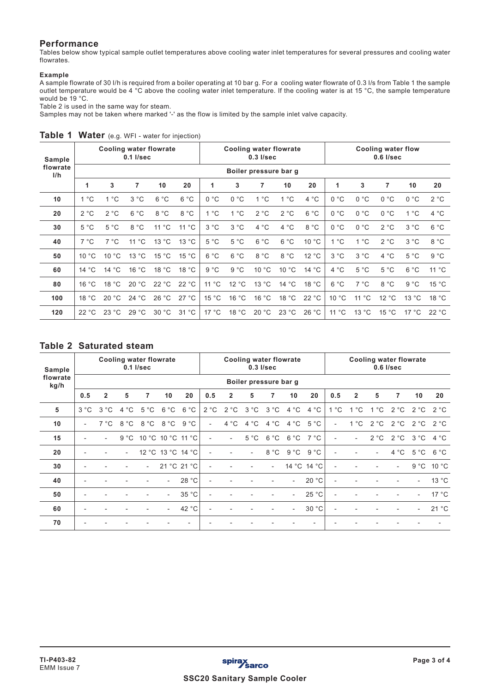## **Performance**

Tables below show typical sample outlet temperatures above cooling water inlet temperatures for several pressures and cooling water flowrates.

#### **Example**

A sample flowrate of 30 I/h is required from a boiler operating at 10 bar g. For a cooling water flowrate of 0.3 I/s from Table 1 the sample outlet temperature would be 4 °C above the cooling water inlet temperature. If the cooling water is at 15 °C, the sample temperature would be 19 °C.

Table 2 is used in the same way for steam.

Samples may not be taken where marked '-' as the flow is limited by the sample inlet valve capacity.

| Sample<br>flowrate<br>I/h |                       | Cooling water flowrate | $0.1$ I/sec    |       |                    |               | Cooling water flowrate | $0.3$ $I/sec$ |       |       | <b>Cooling water flow</b><br>$0.6$ I/sec |                |       |       |       |  |
|---------------------------|-----------------------|------------------------|----------------|-------|--------------------|---------------|------------------------|---------------|-------|-------|------------------------------------------|----------------|-------|-------|-------|--|
|                           | Boiler pressure bar g |                        |                |       |                    |               |                        |               |       |       |                                          |                |       |       |       |  |
|                           | $\mathbf{1}$          | 3                      | 7              | 10    | 20                 | 1             | 3                      | 7             | 10    | 20    | 1                                        | 3              | 7     | 10    | 20    |  |
| 10                        | 1 °C                  | 1 °C                   | 3 °C           | 6 °C  | 6 °C               | 0 °C          | 0 °C                   | 1 °C          | 1 °C  | 4 °C  | 0 °C                                     | 0 °C           | 0 °C  | 0 °C  | 2 °C  |  |
| 20                        | 2 °C                  | 2 °C                   | 6 °C           | 8 °C  | 8 °C               | $1^{\circ}$ C | 1 °C                   | 2 °C          | 2 °C  | 6 °C  | 0 °C                                     | 0 °C           | 0 °C  | 1 °C  | 4 °C  |  |
| 30                        | 5 °C                  | 5 °C                   | 8 °C           | 11 °C | 11 °C              | 3 °C          | 3 °C                   | 4 °C          | 4 °C  | 8 °C  | 0 °C                                     | 0 °C           | 2 °C  | 3 °C  | 6 °C  |  |
| 40                        | 7 °C                  | 7 °C                   | $11^{\circ}$ C | 13 °C | 13 °C              | 5 °C          | 5 °C                   | 6 °C          | 6 °C  | 10 °C | $1^{\circ}$ C                            | 1 °C           | 2 °C  | 3 °C  | 8 °C  |  |
| 50                        | 10 °C                 | 10 °C                  | 13 °C          | 15 °C | 15 °C              | 6 °C          | 6 °C                   | 8 °C          | 8 °C  | 12 °C | 3 °C                                     | 3 °C           | 4 °C  | 5 °C  | 9 °C  |  |
| 60                        | 14 °C                 | 14 °C                  | 16 °C          | 18 °C | 18 °C              | 9 °C          | 9 °C                   | 10 °C         | 10 °C | 14 °C | 4 °C                                     | 5 °C           | 5 °C  | 6 °C  | 11 °C |  |
| 80                        | 16 °C                 | 18 °C                  | 20 °C          | 22 °C | 22 °C              | 11 °C         | 12 °C                  | 13 °C         | 14 °C | 18 °C | 6 °C                                     | 7 °C           | 8 °C  | 9 °C  | 15 °C |  |
| 100                       | 18 °C                 | 20 °C                  | 24 °C          | 26 °C | 27 °C              | 15 °C         | 16 °C                  | 16 °C         | 18 °C | 22 °C | 10 °C                                    | $11^{\circ}$ C | 12 °C | 13 °C | 18 °C |  |
| 120                       | 22 °C                 | 23 °C                  | 29 °C          | 30 °C | $^{\circ}$ C<br>31 | 17 °C         | 18 °C                  | 20 °C         | 23 °C | 26 °C | 11 °C                                    | 13 °C          | 15 °C | 17 °C | 22 °C |  |

### **Table 1 Water** (e.g. WFI - water for injection)

# **Table 2 Saturated steam**

| Sample           | Cooling water flowrate<br>$0.1$ I/sec |                |      |                        |                          |             | <b>Cooling water flowrate</b><br>$0.3$ $I/sec$ |                |                |        |                          |             | <b>Cooling water flowrate</b><br>$0.6$ I/sec |                |              |                          |                          |       |  |
|------------------|---------------------------------------|----------------|------|------------------------|--------------------------|-------------|------------------------------------------------|----------------|----------------|--------|--------------------------|-------------|----------------------------------------------|----------------|--------------|--------------------------|--------------------------|-------|--|
| flowrate<br>kg/h | Boiler pressure bar g                 |                |      |                        |                          |             |                                                |                |                |        |                          |             |                                              |                |              |                          |                          |       |  |
|                  | 0.5                                   | $\overline{2}$ | 5    | 7                      | 10                       | 20          | 0.5                                            | $\overline{2}$ | 5              | 7      | 10                       | 20          | 0.5                                          | $\overline{2}$ | 5            | 7                        | 10 <sup>1</sup>          | 20    |  |
| 5                | 3 °C                                  | 3 °C           | 4 °C | 5 °C                   | 6 °C                     | 6 °C        | 2 °C                                           | 2 °C           | 3 °C           | 3 °C   | 4 °C                     | 4 °C        | 1 °C                                         | °С<br>1        | $^{\circ}$ C | 2 °C                     | 2 °C                     | 2 °C  |  |
| 10               | $\blacksquare$                        | 7 °C           | 8 °C | 8 °C                   | 8 °C                     | 9 °C        |                                                | 4 °C           | 4 °C           | 4 °C   | 4 °C                     | 5 °C        | $\overline{\phantom{0}}$                     | $1^{\circ}$ C  | 2 °C         | 2 °C                     | 2 °C                     | 2 °C  |  |
| 15               |                                       |                |      | 9 °C 10 °C 10 °C 11 °C |                          |             |                                                |                | 5 °C           | 6 °C   | 6 °C                     | 7 °C        |                                              | $\overline{a}$ | 2 °C         | 2 °C                     | 3 °C                     | 4 °C  |  |
| 20               |                                       |                |      |                        | 12 °C 13 °C 14 °C        |             |                                                |                | $\overline{a}$ | 8 °C   | 9 °C                     | 9 °C        |                                              |                |              | 4 °C                     | 5 °C                     | 6 °C  |  |
| 30               |                                       |                |      |                        |                          | 21 °C 21 °C |                                                |                |                | $\sim$ |                          | 14 °C 14 °C |                                              |                |              | $\overline{\phantom{a}}$ | 9 °C                     | 10 °C |  |
| 40               |                                       |                |      |                        | $\overline{\phantom{a}}$ | 28 °C       | $\overline{a}$                                 |                |                |        | $\overline{\phantom{a}}$ | 20 °C       | $\overline{\phantom{a}}$                     |                |              |                          | $\overline{\phantom{a}}$ | 13 °C |  |
| 50               |                                       |                |      |                        | $\overline{\phantom{a}}$ | 35 °C       | $\overline{a}$                                 |                |                |        | $\overline{\phantom{a}}$ | 25 °C       | $\overline{\phantom{a}}$                     |                |              |                          | $\overline{\phantom{a}}$ | 17 °C |  |
| 60               | $\overline{a}$                        |                |      |                        | $\overline{\phantom{a}}$ | 42 °C       | $\overline{\phantom{a}}$                       |                |                | ٠      | $\sim$                   | 30 °C       | $\overline{\phantom{a}}$                     |                |              |                          | $\overline{\phantom{a}}$ | 21 °C |  |
| 70               |                                       |                |      |                        |                          |             |                                                |                |                |        |                          |             |                                              |                |              |                          |                          |       |  |